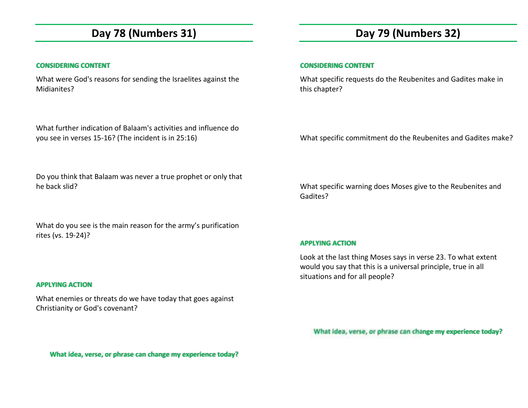## **Day 78 (Numbers 31)**

### **CONSIDERING CONTENT**

What were God's reasons for sending the Israelites against the Midianites?

What further indication of Balaam's activities and influence do you see in verses 15-16? (The incident is in 25:16)

## **Day 79 (Numbers 32)**

### **CONSIDERING CONTENT**

What specific requests do the Reubenites and Gadites make in this chapter?

What specific commitment do the Reubenites and Gadites make?

Do you think that Balaam was never a true prophet or only that he back slid?

What do you see is the main reason for the army's purification rites (vs. 19-24)?

### **APPLYING ACTION**

What enemies or threats do we have today that goes against Christianity or God's covenant?

What specific warning does Moses give to the Reubenites and Gadites?

### **APPLYING ACTION**

Look at the last thing Moses says in verse 23. To what extent would you say that this is a universal principle, true in all situations and for all people?

**What idea, verse, or phrase can change my experience today?** 

**What idea, verse, or phrase can change my experience today?**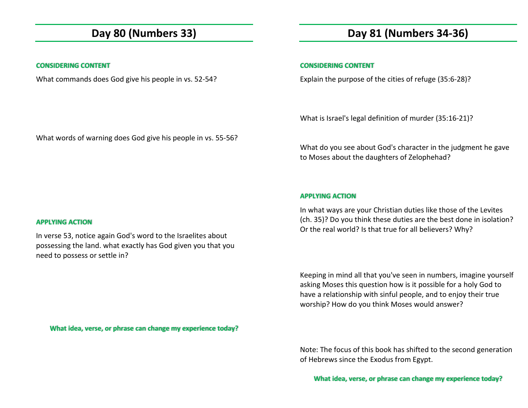## **Day 80 (Numbers 33)**

### **CONSIDERING CONTENT**

What commands does God give his people in vs. 52-54?

## **Day 81 (Numbers 34-36)**

### **CONSIDERING CONTENT**

Explain the purpose of the cities of refuge (35:6-28)?

What is Israel's legal definition of murder (35:16-21)?

What do you see about God's character in the judgment he gave to Moses about the daughters of Zelophehad?

#### **APPLYING ACTION**

In what ways are your Christian duties like those of the Levites (ch. 35)? Do you think these duties are the best done in isolation? Or the real world? Is that true for all believers? Why?

Keeping in mind all that you've seen in numbers, imagine yourself asking Moses this question how is it possible for a holy God to have a relationship with sinful people, and to enjoy their true worship? How do you think Moses would answer?

**What idea, verse, or phrase can change my experience today?** 

Note: The focus of this book has shifted to the second generation of Hebrews since the Exodus from Egypt.

**What idea, verse, or phrase can change my experience today?** 

### What words of warning does God give his people in vs. 55-56?

### **APPLYING ACTION**

In verse 53, notice again God's word to the Israelites about possessing the land. what exactly has God given you that you need to possess or settle in?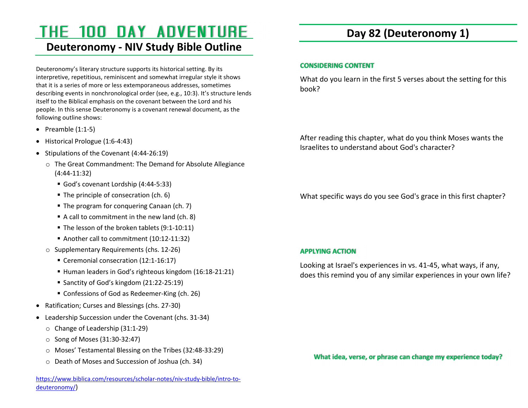# THE 100 DAY ADVENTURE

## **Deuteronomy - NIV Study Bible Outline**

Deuteronomy's literary structure supports its historical setting. By its interpretive, repetitious, reminiscent and somewhat irregular style it shows that it is a series of more or less extemporaneous addresses, sometimes describing events in nonchronological order (see, e.g., 10:3). It's structure lends itself to the Biblical emphasis on the covenant between the Lord and his people. In this sense Deuteronomy is a covenant renewal document, as the following outline shows:

- Preamble  $(1:1-5)$
- Historical Prologue (1:6-4:43)
- Stipulations of the Covenant  $(4:44-26:19)$ 
	- o The Great Commandment: The Demand for Absolute Allegiance (4:44-11:32)
		- God's covenant Lordship (4:44-5:33)
		- The principle of consecration (ch. 6)
		- The program for conquering Canaan (ch. 7)
		- A call to commitment in the new land (ch. 8)
		- The lesson of the broken tablets (9:1-10:11)
		- Another call to commitment (10:12-11:32)
	- o Supplementary Requirements (chs. 12-26)
		- Ceremonial consecration (12:1-16:17)
		- Human leaders in God's righteous kingdom (16:18-21:21)
		- Sanctity of God's kingdom (21:22-25:19)
		- Confessions of God as Redeemer-King (ch. 26)
- Ratification; Curses and Blessings (chs. 27-30)
- Leadership Succession under the Covenant (chs. 31-34)
	- o Change of Leadership (31:1-29)
	- $\circ$  Song of Moses (31:30-32:47)
	- o Moses' Testamental Blessing on the Tribes (32:48-33:29)
	- o Death of Moses and Succession of Joshua (ch. 34)

## **Day 82 (Deuteronomy 1)**

### **CONSIDERING CONTENT**

What do you learn in the first 5 verses about the setting for this book?

After reading this chapter, what do you think Moses wants the Israelites to understand about God's character?

What specific ways do you see God's grace in this first chapter?

### **APPLYING ACTION**

Looking at Israel's experiences in vs. 41-45, what ways, if any, does this remind you of any similar experiences in your own life?

**What idea, verse, or phrase can change my experience today?**